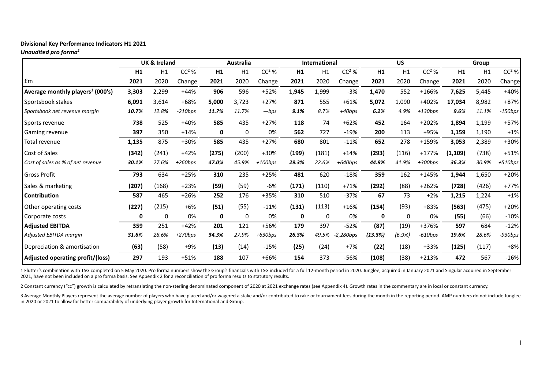# **Divisional Key Performance Indicators H1 2021**

*Unaudited pro forma1*

|                                              |       | <b>UK &amp; Ireland</b> |           |       | <b>Australia</b> |           | <b>International</b> |       |             | <b>US</b> |           |           | Group   |       |           |
|----------------------------------------------|-------|-------------------------|-----------|-------|------------------|-----------|----------------------|-------|-------------|-----------|-----------|-----------|---------|-------|-----------|
|                                              | H1    | H1                      | $CC2$ %   | H1    | H1               | $CC2$ %   | H1                   | H1    | $CC2$ %     | H1        | H1        | $CC2$ %   | H1      | H1    | $CC2$ %   |
| <b>Em</b>                                    | 2021  | 2020                    | Change    | 2021  | 2020             | Change    | 2021                 | 2020  | Change      | 2021      | 2020      | Change    | 2021    | 2020  | Change    |
| Average monthly players <sup>3</sup> (000's) | 3,303 | 2,299                   | +44%      | 906   | 596              | $+52%$    | 1,945                | 1,999 | $-3%$       | 1,470     | 552       | +166%     | 7,625   | 5,445 | $+40%$    |
| Sportsbook stakes                            | 6,091 | 3,614                   | +68%      | 5,000 | 3,723            | $+27%$    | 871                  | 555   | $+61%$      | 5,072     | 1,090     | +402%     | 17,034  | 8,982 | +87%      |
| Sportsbook net revenue margin                | 10.7% | 12.8%                   | $-210bps$ | 11.7% | 11.7%            | $-bps$    | 9.1%                 | 8.7%  | $+40bps$    | 6.2%      | 4.9%      | $+130bps$ | 9.6%    | 11.1% | -150bps   |
| Sports revenue                               | 738   | 525                     | +40%      | 585   | 435              | $+27%$    | 118                  | 74    | $+62%$      | 452       | 164       | +202%     | 1,894   | 1,199 | $+57%$    |
| Gaming revenue                               | 397   | 350                     | $+14%$    | 0     | 0                | 0%        | 562                  | 727   | $-19%$      | 200       | 113       | +95%      | 1,159   | 1,190 | $+1%$     |
| Total revenue                                | 1,135 | 875                     | +30%      | 585   | 435              | $+27%$    | 680                  | 801   | $-11%$      | 652       | 278       | +159%     | 3,053   | 2,389 | +30%      |
| Cost of Sales                                | (342) | (241)                   | $+42%$    | (275) | (200)            | +30%      | (199)                | (181) | $+14%$      | (293)     | (116)     | $+177%$   | (1,109) | (738) | $+51%$    |
| Cost of sales as % of net revenue            | 30.1% | 27.6%                   | $+260bps$ | 47.0% | 45.9%            | $+100bps$ | 29.3%                | 22.6% | $+640bps$   | 44.9%     | 41.9%     | $+300bps$ | 36.3%   | 30.9% | $+510bps$ |
| <b>Gross Profit</b>                          | 793   | 634                     | $+25%$    | 310   | 235              | $+25%$    | 481                  | 620   | $-18%$      | 359       | 162       | $+145%$   | 1,944   | 1,650 | $+20%$    |
| Sales & marketing                            | (207) | (168)                   | $+23%$    | (59)  | (59)             | $-6%$     | (171)                | (110) | $+71%$      | (292)     | (88)      | $+262%$   | (728)   | (426) | $+77%$    |
| <b>Contribution</b>                          | 587   | 465                     | +26%      | 252   | 176              | +35%      | 310                  | 510   | $-37%$      | 67        | 73        | $+2%$     | 1,215   | 1,224 | $+1%$     |
| Other operating costs                        | (227) | (215)                   | $+6%$     | (51)  | (55)             | $-11%$    | (131)                | (113) | $+16%$      | (154)     | (93)      | +83%      | (563)   | (475) | $+20%$    |
| Corporate costs                              | 0     | 0                       | 0%        | 0     | 0                | 0%        | 0                    | 0     | 0%          | 0         | 0         | 0%        | (55)    | (66)  | $-10%$    |
| <b>Adjusted EBITDA</b>                       | 359   | 251                     | $+42%$    | 201   | 121              | +56%      | 179                  | 397   | $-52%$      | (87)      | (19)      | +376%     | 597     | 684   | $-12%$    |
| Adjusted EBITDA margin                       | 31.6% | 28.6%                   | $+270bps$ | 34.3% | 27.9%            | $+630bps$ | 26.3%                | 49.5% | $-2,280bps$ | (13.3%)   | $(6.9\%)$ | $-610bps$ | 19.6%   | 28.6% | $-930bps$ |
| Depreciation & amortisation                  | (63)  | (58)                    | +9%       | (13)  | (14)             | $-15%$    | (25)                 | (24)  | $+7%$       | (22)      | (18)      | +33%      | (125)   | (117) | $+8%$     |
| Adjusted operating profit/(loss)             | 297   | 193                     | $+51%$    | 188   | 107              | +66%      | 154                  | 373   | -56%        | (108)     | (38)      | $+213%$   | 472     | 567   | $-16%$    |

1 Flutter's combination with TSG completed on 5 May 2020. Pro forma numbers show the Group's financials with TSG included for a full 12-month period in 2020. Junglee, acquired in January 2021 and Singular acquired in Septe 2021, have not been included on a pro forma basis. See Appendix 2 for a reconciliation of pro forma results to statutory results.

2 Constant currency ("cc") growth is calculated by retranslating the non-sterling denominated component of 2020 at 2021 exchange rates (see Appendix 4). Growth rates in the commentary are in local or constant currency.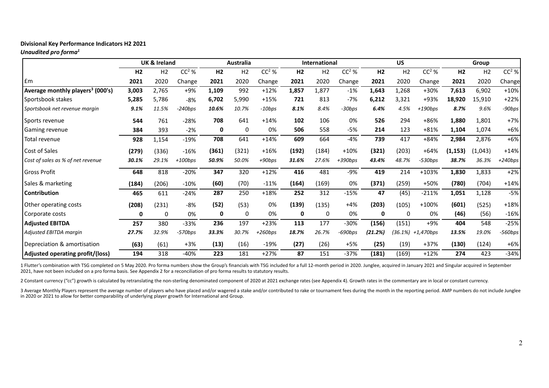## **Divisional Key Performance Indicators H2 2021**

*Unaudited pro forma1*

|                                              |                | <b>UK &amp; Ireland</b> |           |                | <b>Australia</b> |           |                | <b>International</b> |           |                | <b>US</b> |           |                | Group          |           |
|----------------------------------------------|----------------|-------------------------|-----------|----------------|------------------|-----------|----------------|----------------------|-----------|----------------|-----------|-----------|----------------|----------------|-----------|
|                                              | H <sub>2</sub> | H <sub>2</sub>          | $CC2$ %   | H <sub>2</sub> | H <sub>2</sub>   | $CC2$ %   | H <sub>2</sub> | H <sub>2</sub>       | $CC2$ %   | H <sub>2</sub> | H2        | $CC2$ %   | H <sub>2</sub> | H <sub>2</sub> | $CC2$ %   |
| £m                                           | 2021           | 2020                    | Change    | 2021           | 2020             | Change    | 2021           | 2020                 | Change    | 2021           | 2020      | Change    | 2021           | 2020           | Change    |
| Average monthly players <sup>3</sup> (000's) | 3,003          | 2,765                   | +9%       | 1,109          | 992              | $+12%$    | 1,857          | 1,877                | $-1%$     | 1,643          | 1,268     | +30%      | 7,613          | 6,902          | $+10%$    |
| Sportsbook stakes                            | 5,285          | 5,786                   | -8%       | 6,702          | 5,990            | $+15%$    | 721            | 813                  | $-7%$     | 6,212          | 3,321     | +93%      | 18,920         | 15,910         | $+22%$    |
| Sportsbook net revenue margin                | 9.1%           | 11.5%                   | $-240bps$ | 10.6%          | 10.7%            | $-10bps$  | 8.1%           | 8.4%                 | -30bps    | 6.4%           | 4.5%      | $+190bps$ | 8.7%           | 9.6%           | -90bps    |
| Sports revenue                               | 544            | 761                     | -28%      | 708            | 641              | $+14%$    | 102            | 106                  | 0%        | 526            | 294       | +86%      | 1,880          | 1,801          | $+7%$     |
| Gaming revenue                               | 384            | 393                     | $-2%$     | 0              | $\mathbf{0}$     | 0%        | 506            | 558                  | -5%       | 214            | 123       | $+81%$    | 1,104          | 1,074          | $+6%$     |
| Total revenue                                | 928            | 1,154                   | $-19%$    | 708            | 641              | $+14%$    | 609            | 664                  | $-4%$     | 739            | 417       | +84%      | 2,984          | 2,876          | +6%       |
| Cost of Sales                                | (279)          | (336)                   | $-16%$    | (361)          | (321)            | $+16%$    | (192)          | (184)                | $+10%$    | (321)          | (203)     | $+64%$    | (1, 153)       | (1,043)        | $+14%$    |
| Cost of sales as % of net revenue            | 30.1%          | 29.1%                   | $+100bps$ | 50.9%          | 50.0%            | $+90bps$  | 31.6%          | 27.6%                | $+390bps$ | 43.4%          | 48.7%     | -530bps   | 38.7%          | 36.3%          | $+240bps$ |
| <b>Gross Profit</b>                          | 648            | 818                     | $-20%$    | 347            | 320              | $+12%$    | 416            | 481                  | $-9%$     | 419            | 214       | +103%     | 1,830          | 1,833          | $+2%$     |
| Sales & marketing                            | (184)          | (206)                   | $-10%$    | (60)           | (70)             | $-11%$    | (164)          | (169)                | 0%        | (371)          | (259)     | +50%      | (780)          | (704)          | $+14%$    |
| <b>Contribution</b>                          | 465            | 611                     | $-24%$    | 287            | 250              | $+18%$    | 252            | 312                  | $-15%$    | 47             | (45)      | $-211%$   | 1,051          | 1,128          | $-5%$     |
| Other operating costs                        | (208)          | (231)                   | $-8%$     | (52)           | (53)             | 0%        | (139)          | (135)                | $+4%$     | (203)          | (105)     | +100%     | (601)          | (525)          | $+18%$    |
| Corporate costs                              | 0              | 0                       | 0%        | 0              | 0                | 0%        | 0              | 0                    | 0%        | 0              | 0         | 0%        | (46)           | (56)           | $-16%$    |
| <b>Adjusted EBITDA</b>                       | 257            | 380                     | $-33%$    | 236            | 197              | $+23%$    | 113            | 177                  | $-30%$    | (156)          | (151)     | $+9%$     | 404            | 548            | $-25%$    |
| Adjusted EBITDA margin                       | 27.7%          | 32.9%                   | $-570bps$ | 33.3%          | 30.7%            | $+260bps$ | 18.7%          | 26.7%                | -690bps   | (21.2%)        | (36.1%)   | +1,470bps | 13.5%          | 19.0%          | $-560bps$ |
| Depreciation & amortisation                  | (63)           | (61)                    | $+3%$     | (13)           | (16)             | -19%      | (27)           | (26)                 | $+5%$     | (25)           | (19)      | $+37%$    | (130)          | (124)          | $+6%$     |
| <b>Adjusted operating profit/(loss)</b>      | 194            | 318                     | -40%      | 223            | 181              | $+27%$    | 87             | 151                  | $-37%$    | (181)          | (169)     | $+12%$    | 274            | 423            | $-34%$    |

1 Flutter's combination with TSG completed on 5 May 2020. Pro forma numbers show the Group's financials with TSG included for a full 12-month period in 2020. Junglee, acquired in January 2021 and Singular acquired in Septe 2021, have not been included on a pro forma basis. See Appendix 2 for a reconciliation of pro forma results to statutory results.

2 Constant currency ("cc") growth is calculated by retranslating the non-sterling denominated component of 2020 at 2021 exchange rates (see Appendix 4). Growth rates in the commentary are in local or constant currency.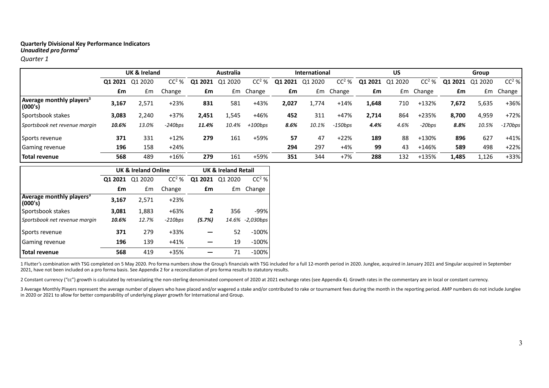*Quarter 1*

|                                                 |         | <b>UK &amp; Ireland</b> |           |         | Australia  |           |                     | <b>International</b> |           |         | US      |           |         | Group   |           |
|-------------------------------------------------|---------|-------------------------|-----------|---------|------------|-----------|---------------------|----------------------|-----------|---------|---------|-----------|---------|---------|-----------|
|                                                 | 01 2021 | 2020<br>O1              | $CC2$ %   | Q1 2021 | 2020<br>Q1 | $CC2$ %   | . 2021<br><b>Q1</b> | . 2020<br>O1         | $CC2$ %   | Q1 2021 | Q1 2020 | $CC2$ %   | Q1 2021 | Q1 2020 | $CC2$ %   |
|                                                 | £m      | £m                      | Change    | £m      |            | £m Change | £m                  |                      | Em Change | £m      |         | £m Change | £m      | £m      | Change    |
| Average monthly players <sup>3</sup><br>(000's) | 3,167   | 2,571                   | $+23%$    | 831     | 581        | +43%      | 2,027               | 1.774                | $+14%$    | 1,648   | 710     | +132%     | 7,672   | 5,635   | +36%      |
| Sportsbook stakes                               | 3,083   | 2,240                   | +37%      | 2,451   | 1,545      | $+46%$    | 452                 | 311                  | +47%      | 2.714   | 864     | +235%     | 8.700   | 4,959   | $+72%$    |
| Sportsbook net revenue margin                   | 10.6%   | 13.0%                   | $-240bps$ | 11.4%   | 10.4%      | $+100bps$ | 8.6%                | 10.1%                | $-150bps$ | 4.4%    | 4.6%    | $-20bps$  | 8.8%    | 10.5%   | $-170bps$ |
| Sports revenue                                  | 371     | 331                     | $+12%$    | 279     | 161        | +59%      | 57                  | 47                   | $+22%$    | 189     | 88      | +130%     | 896     | 627     | $+41%$    |
| <b>Gaming revenue</b>                           | 196     | 158                     | $+24%$    |         |            |           | 294                 | 297                  | $+4%$     | 99      | 43      | +146%     | 589     | 498     | $+22%$    |
| Total revenue                                   | 568     | 489                     | $+16%$    | 279     | 161        | +59%      | 351                 | 344                  | $+7%$     | 288     | 132     | +135%     | 1,485   | 1,126   | +33%      |

|                                                 |         | <b>UK &amp; Ireland Online</b> |           | <b>UK &amp; Ireland Retail</b> |         |                 |  |  |
|-------------------------------------------------|---------|--------------------------------|-----------|--------------------------------|---------|-----------------|--|--|
|                                                 | Q1 2021 | Q1 2020                        | $CC2$ %   | Q1 2021                        | Q1 2020 | $CC2$ %         |  |  |
|                                                 | £m      | £m                             | Change    | £m                             | Em      | Change          |  |  |
| Average monthly players <sup>3</sup><br>(000's) | 3,167   | 2,571                          | $+23%$    |                                |         |                 |  |  |
| Sportsbook stakes                               | 3,081   | 1,883                          | $+63%$    | 2                              | 356     | $-99%$          |  |  |
| Sportsbook net revenue margin                   | 10.6%   | 12.7%                          | $-210bps$ | (5.7%)                         |         | 14.6% -2,030bps |  |  |
| Sports revenue                                  | 371     | 279                            | $+33%$    |                                | 52      | $-100%$         |  |  |
| Gaming revenue                                  | 196     | 139                            | $+41%$    |                                | 19      | -100%           |  |  |
| <b>Total revenue</b>                            | 568     | 419                            | $+35%$    |                                | 71      | $-100%$         |  |  |

1 Flutter's combination with TSG completed on 5 May 2020. Pro forma numbers show the Group's financials with TSG included for a full 12-month period in 2020. Junglee, acquired in January 2021 and Singular acquired in Septe 2021, have not been included on a pro forma basis. See Appendix 2 for a reconciliation of pro forma results to statutory results.

2 Constant currency ("cc") growth is calculated by retranslating the non-sterling denominated component of 2020 at 2021 exchange rates (see Appendix 4). Growth rates in the commentary are in local or constant currency.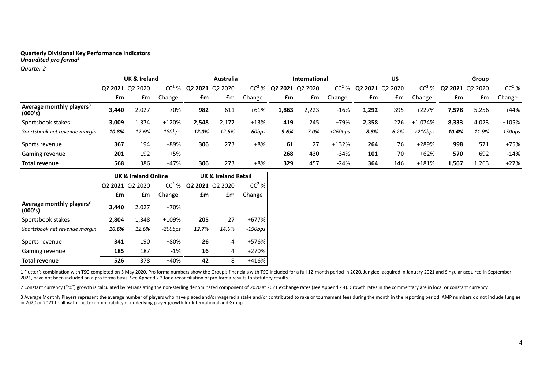#### *Quarter 2*

|                                                 |       | UK & Ireland    |           | <b>Australia</b> |         |        | International           |       |           |       | <b>US</b>       |           | Group |                 |           |
|-------------------------------------------------|-------|-----------------|-----------|------------------|---------|--------|-------------------------|-------|-----------|-------|-----------------|-----------|-------|-----------------|-----------|
|                                                 |       | Q2 2021 Q2 2020 | $CC2$ %   | Q2 2021          | Q2 2020 |        | $CC2$ % Q2 2021 Q2 2020 |       | $CC2$ %   |       | Q2 2021 Q2 2020 | $CC2$ %   |       | Q2 2021 Q2 2020 | $CC2$ %   |
|                                                 | £m    | Em              | Change    | £m               | £m      | Change | £m                      | £m    | Change    | £m    | £m              | Change    | £m    | £m              | Change    |
| Average monthly players <sup>3</sup><br>(000's) | 3,440 | 2,027           | +70%      | 982              | 611     | $+61%$ | 1.863                   | 2.223 | $-16%$    | 1,292 | 395             | $+227%$   | 7,578 | 5,256           | $+44%$    |
| Sportsbook stakes                               | 3,009 | 1,374           | +120%     | 2,548            | 2.177   | $+13%$ | 419                     | 245   | +79%      | 2,358 | 226             | +1,074%   | 8.333 | 4,023           | +105%     |
| Sportsbook net revenue marain                   | 10.8% | 12.6%           | $-180bps$ | 12.0%            | 12.6%   | -60bps | 9.6%                    | 7.0%  | $+260bps$ | 8.3%  | 6.2%            | $+210bps$ | 10.4% | 11.9%           | $-150bps$ |
| Sports revenue                                  | 367   | 194             | +89%      | 306              | 273     | +8%    | 61                      | 27    | $+132%$   | 264   | 76              | +289%     | 998   | 571             | $+75%$    |
| Gaming revenue                                  | 201   | 192             | $+5%$     |                  |         |        | 268                     | 430   | $-34%$    | 101   | 70              | $+62%$    | 570   | 692             | $-14%$    |
| Total revenue                                   | 568   | 386             | $+47%$    | 306              | 273     | +8%    | 329                     | 457   | $-24%$    | 364   | 146             | $+181%$   | 1,567 | 1,263           | $+27%$    |

|                                                 |       | <b>UK &amp; Ireland Online</b> |           | <b>UK &amp; Ireland Retail</b> |                 |            |  |  |
|-------------------------------------------------|-------|--------------------------------|-----------|--------------------------------|-----------------|------------|--|--|
|                                                 |       | Q2 2021 Q2 2020                | $CC2$ %   |                                | Q2 2021 Q2 2020 | $CC2$ %    |  |  |
|                                                 | £m    | £m                             | Change    | £m                             | Em              | Change     |  |  |
| Average monthly players <sup>3</sup><br>(000's) | 3.440 | 2,027                          | +70%      |                                |                 |            |  |  |
| Sportsbook stakes                               | 2,804 | 1,348                          | +109%     | 205                            | 27              | $+677%$    |  |  |
| Sportsbook net revenue margin                   | 10.6% | 12.6%                          | $-200bps$ | 12.7%                          | 14.6%           | $-190$ bps |  |  |
| Sports revenue                                  | 341   | 190                            | +80%      | 26                             | 4               | +576%      |  |  |
| Gaming revenue                                  | 185   | 187                            | $-1%$     | 16                             | 4               | $+270%$    |  |  |
| <b>Total revenue</b>                            | 526   | 378                            | $+40%$    | 42                             | 8               | $+416%$    |  |  |

1 Flutter's combination with TSG completed on 5 May 2020. Pro forma numbers show the Group's financials with TSG included for a full 12-month period in 2020. Junglee, acquired in January 2021 and Singular acquired in Septe 2021, have not been included on a pro forma basis. See Appendix 2 for a reconciliation of pro forma results to statutory results.

2 Constant currency ("cc") growth is calculated by retranslating the non-sterling denominated component of 2020 at 2021 exchange rates (see Appendix 4). Growth rates in the commentary are in local or constant currency.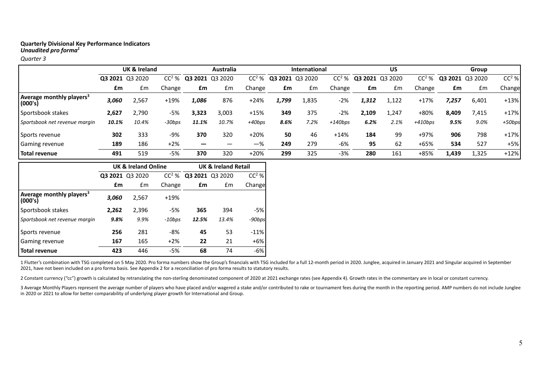*Quarter 3*

|                                                 |       | UK & Ireland    |         | Australia |                 |          | <b>International</b> |       |           |                 | US    |           | Group           |       |         |
|-------------------------------------------------|-------|-----------------|---------|-----------|-----------------|----------|----------------------|-------|-----------|-----------------|-------|-----------|-----------------|-------|---------|
|                                                 |       | Q3 2021 Q3 2020 | $CC2$ % |           | Q3 2021 Q3 2020 | $CC2$ %  | Q3 2021 Q3 2020      |       | $CC2$ %   | Q3 2021 Q3 2020 |       | $CC2$ %   | Q3 2021 Q3 2020 |       | $CC2$ % |
|                                                 | £m    | £m              | Change  | £m        | £m              | Change   | £m                   | £m    | Change    | £m              | £m    | Change    | £m              | £m    | Change  |
| Average monthly players <sup>3</sup><br>(000's) | 3,060 | 2,567           | $+19%$  | 1,086     | 876             | $+24%$   | 1,799                | 1,835 | -2%       | 1.312           | .122  | $+17%$    | 7,257           | 6,401 | $+13%$  |
| Sportsbook stakes                               | 2,627 | 2,790           | -5%     | 3,323     | 3,003           | $+15%$   | 349                  | 375   | -2%       | 2,109           | 1,247 | +80%      | 8,409           | 7,415 | $+17%$  |
| Sportsbook net revenue margin                   | 10.1% | 10.4%           | -30bps  | 11.1%     | 10.7%           | $+40bps$ | 8.6%                 | 7.2%  | $+140bps$ | 6.2%            | 2.1%  | $+410bps$ | 9.5%            | 9.0%  | +50bps  |
| Sports revenue                                  | 302   | 333             | $-9%$   | 370       | 320             | $+20%$   | 50                   | 46    | $+14%$    | 184             | 99    | +97%      | 906             | 798   | $+17%$  |
| <b>Gaming revenue</b>                           | 189   | 186             | $+2%$   | _         |                 | $-$ %    | 249                  | 279   | $-6%$     | 95              | 62    | $+65%$    | 534             | 527   | +5%     |
| Total revenue                                   | 491   | 519             | $-5%$   | 370       | 320             | $+20%$   | 299                  | 325   | -3%       | 280             | 161   | +85%      | 1,439           | 1,325 | $+12%$  |

|                                                 |         | <b>UK &amp; Ireland Online</b> |          | <b>UK &amp; Ireland Retail</b> |                 |         |  |  |
|-------------------------------------------------|---------|--------------------------------|----------|--------------------------------|-----------------|---------|--|--|
|                                                 | Q3 2021 | Q3 2020                        | $CC2$ %  |                                | Q3 2021 Q3 2020 | $CC2$ % |  |  |
|                                                 | £m      | £m                             | Change   | £m                             | £m              | Changel |  |  |
| Average monthly players <sup>3</sup><br>(000's) | 3.060   | 2,567                          | $+19%$   |                                |                 |         |  |  |
| Sportsbook stakes                               | 2,262   | 2,396                          | -5%      | 365                            | 394             | -5%     |  |  |
| Sportsbook net revenue margin                   | 9.8%    | 9.9%                           | $-10bps$ | 12.5%                          | 13.4%           | -90bps  |  |  |
| Sports revenue                                  | 256     | 281                            | -8%      | 45                             | 53              | $-11%$  |  |  |
| Gaming revenue                                  | 167     | 165                            | $+2%$    | 22                             | 21              | $+6%$   |  |  |
| <b>Total revenue</b>                            | 423     | 446                            | -5%      | 68                             | 74              | -6%     |  |  |

1 Flutter's combination with TSG completed on 5 May 2020. Pro forma numbers show the Group's financials with TSG included for a full 12-month period in 2020. Junglee, acquired in January 2021 and Singular acquired in Septe 2021, have not been included on a pro forma basis. See Appendix 2 for a reconciliation of pro forma results to statutory results.

2 Constant currency ("cc") growth is calculated by retranslating the non-sterling denominated component of 2020 at 2021 exchange rates (see Appendix 4). Growth rates in the commentary are in local or constant currency.